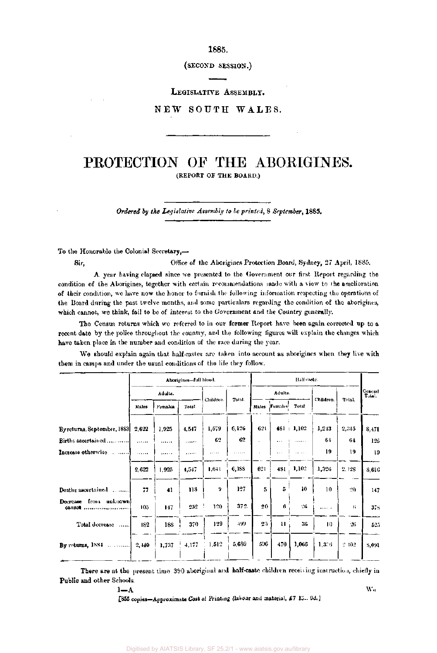1885.

(SECOND SESSION.)

## LEGISLATIVE ASSEMBLY.

# NEW SOUTH WALES.

# PROTECTION OF THE ABORIGINES. (REPORT OF THE BOARD.)

*Ordered by the Legislative Assembly to be printed,* 8 *September,* 1885.

To the Honorable the Colonial Secretary,—

Sir, Office of the Aborigines Protection Board, Sydney, 27 April, 1885.

A year having elapsed since we presented to the Government our first Report regarding the condition of the Aborigines, together with certain recommendations made with a view to the amelioration of their condition, we have now the honor to furnish the following information respecting the operations of the Board during the past twelve months, and some particulars regarding the condition of the aborigines, which cannot, we think, fail to be of interest to the Government and the Country generally.

The Census returns which we referred to in our former Report have been again corrected up to a recent date by the police throughout the country, and the following figures will explain the changes which have taken place in the number and condition of the race during the year.

We should explain again that half-castes are taken into account as aborigines when they live with them in camps and under the usual conditions of the life they follow.

| Adults.<br>Females. | Total. | Children. |               |         |          |                  |               |        |                   |
|---------------------|--------|-----------|---------------|---------|----------|------------------|---------------|--------|-------------------|
|                     |        |           | Total.        | Adults. |          |                  | Children.     | Tetal. | General<br>Total. |
|                     |        |           |               | Males.  | Females  | Total.           |               |        |                   |
| 1,925               | 4.547  | 1,579     | 6,126         | 621     |          |                  | 1,243         | 2,345  | 8,471             |
|                     | 1.1111 | 62        | 62            | ä,      | $\cdots$ | 1.1.1.1.1        | 61            | 64     | 126               |
| .                   | .      | .         | $1.1.1 - 1.1$ |         | $\cdots$ | 1.1.1.1          | 19            | 19     | 19                |
| 1,925               | 4,547  | 1.641     | 6,188         | 621     | 481      | 1,102            | 1,326         | 2.128  | 8,616             |
| 41                  | 118    | 9         | 127           | 5       | 5        | 10               | 10            | $20 -$ | 147               |
| 147                 | 252    | 120       | 372           |         | 6        | 26               | .             | 6      | 3.5               |
| 188                 | 370    | 129       | 499           |         | u        | 36               | 10            | 26     | 525               |
| 1,737               | 4,177  | 1,512     | 5,689         |         | 470      | 1,066            | 1,3.6         | 2,102  | 8,091             |
|                     |        |           |               |         |          | 20<br>2.1<br>596 | $481 + 1,102$ |        |                   |

There are at the present time 390 aboriginal and half-caste children receiving instruction, chiefly in Public and other Schools.

 $1-\mathbf{A}$  We are the set of the set of the set of the set of the set of the set of the set of the set of the set of the set of the set of the set of the set of the set of the set of the set of the set of the set of the se

[855 copies-Approximate Cost of Printing (labour and material, £7 18... 9d.]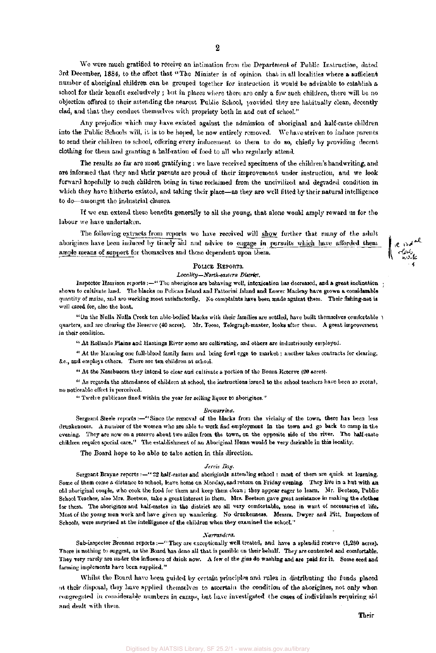We were much gratified to receive an intimation from the Department of Public Instruction, dated 3rd December, 1884, to the effect that "The Minister is of opinion that in all localities where a sufficient number of aboriginal children can be grouped together for instruction it would be advisable to establish a school for their benefit exclusively ; but in places where there are only a few such children, there will be no objection offered to their attending the nearest Public School, provided they are habitually clean, decently clad, and that they conduct themselves with propriety both in and out of school."

Any prejudice which may have existed against the admission of aboriginal and half-caste children into the Public Schools will, it is to be hoped, be now entirely removed. We have striven to induce parents to send their children to school, offering every inducement to them to do so, chiefly by providing decent clothing for them and granting a half-ration of food to all who regularly attend.

The results so far are most gratifying : we have received specimens of the children's handwriting, and are informed that they and their parents are proud of their improvement under instruction, and we look forward hopefully to such children being in time reclaimed from the uncivilized and degraded condition in which they have hitherto existed, and taking their place—as they are well fitted by their natural intelligence to do—amongst the industrial classes.

If we can extend these benefits generally to all the young, that alone would amply reward us for the labour we have undertaken.

The following extracts from reports wo have received will show further that many of the adult aborigines have been induced by timely aid and advice to engage in pursuits which have afforded them ample means of support for themselves and those dependent upon them.



### POLICE REPORTS.

#### *Locality—North-eastern District.*

Inspector Harrison reports :- "The aborigines are behaving well, intoxication has decreased, and a great inclination shown to cultivate land. The blacks on Pelican Island and Fattorini Island and Lower Macleay have grown a considerable quantity of maize, and are working most satisfactorily. No complaints have been made against them. Their fishing-net is well cared for, also the boat.

"On the Nulla Nulla Greek ten able-bodied blacks with their families are settled, have built themselves comfortable quarters, and are clearing the Reserve (40 acres). Mr. Toose, Telegraph-master, looks after them. A great improvement in their condition.

" At Rollands Plains and Hastings River some are cultivating, and others are industriously employed.

" At the Manning one full-blood family farm and bring fowl eggs to market; another takes contracts for clearing, &c, and employs others. There are ten children at school.

" At the Nambuccra they intend to clear and cultivate a portion of the Boura Reserve (20 acres).

" As regards the attendance of children at school, the instructions issued to the school teachers have been so recent, no noticeable effect is perceived.

" Twelve publicans fined within the year for selling liquor to aborigines."

#### *Brewarrina.*

Sergeant Steele reports:—" Since the removal of the blacks from the vicinity of the town, there has been less drunkenness. A number of the women who are able to work find employment in the town and go back to camp in the evening. They are now on a reserve about two miles from the town, on the opposite side of the river. The half-caste children require special care." The establishment of an Aboriginal Home would be very desirable in this locality.

The Board hope to be able to take action in this direction.

#### *Jervis Bay.*

Sergeant Brayne reports :—" 22 half-castes and aboriginals attending school : most of them are quick at learning. Some of them come a distance to school, leave home on Monday, and return on Friday evening. They live in a hut with an old aboriginal couple, who cook the food for them and keep them clean ; they appear eager to learn. Mr. Beetson, Public School Teacher, also Mrs. Beetson, take a great interest in them. Mrs. Beetson gave great assistance in making the clothes for them. The aborigines and half-castes in the district are all very comfortable, none in want of necessaries of life. Most of the young men work and have given up wandering. No drunkenness. Messrs. Dwyer and Pitt, Inspectors of Schools, were surprised at the intelligence of the children when they examined the school."

#### *Narrandcra.*

Sub-inspector Brennan reports :—" They are exceptionally well treated, and have a splendid reserve (1,280 acres). There is nothing to suggest, as the Board has done all that is possible on their behalf. They are contented and comfortable. They very rarely are under the influence of drink now. A few of the gins do washing and are paid for it. Some seed and farming implements have been supplied."

Whilst the Board have been guided by certain principles and rules in distributing the funds placed at their disposal, they have applied themselves to ascertain the condition of the aborigines, not only when congregated in considerable numbers in camps, but have investigated the cases of individuals requiring aid and dealt with them.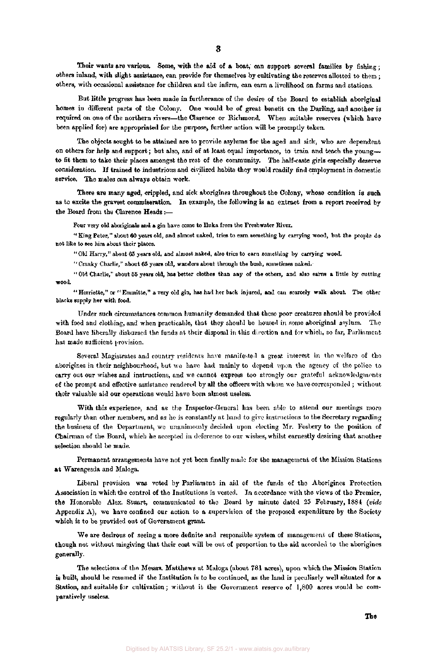Their wants are various. Some, with the aid of a boat, can support several families by fishing; others inland, with slight assistance, can provide for themselves by cultivating the reserves allotted to them ; others, with occasional assistance for children and the infirm, can earn a livelihood on farms and stations.

But little progress has been made in furtherance of the desire of the Board to establish aboriginal homes in different parts of the Colony. One would be of great benefit on the Darling, and another is required on one of the northern rivers—the Clarence or Richmond. When suitable reserves (which have been applied for) are appropriated for the purpose, further action will be promptly taken.

The objects sought to be attained are to provide asylums for the aged and sick, who are dependent on others for help and support; but also, and of at least equal importance, to train and teach the young to fit them to take their places amongst the rest of the community. The half-caste girls especially deserve consideration. If trained to industrious and civilized habits they would readily find employment in domestic service. The males can always obtain work.

There are many aged, crippled, and sick aborigines throughout the Colony, whose condition is such as to excite the gravest commiseration. In example, the following is an extract from a report received by the Board from the Clarence Heads:—

Four very old aboriginals and a gin have come to Iluka from the Freshwater River.

"King Peter," about 60 years old, and almost naked, tries to earn something by carrying wood, but the people do not like to see him about their places.

"Old Harry," about 65 years old, and almost naked, also tries to earn something by carrying wood.

" Cranky Charlie," about 65 years old, wanders about through the bush, sometimes naked.

"Old Charlie," about 55 years old, has better clothes than any of the others, and also earns a little by cutting wood.

"Herriette," or "Emmitte," a very old gin, has had her back injured, and can scarcely walk about. The other blacks supply her with food.

Under such circumstances common humanity demanded that these poor creatures should be provided with food and clothing, and when practicable, that they should be housed in some aboriginal asylum. The Board have liberally disbursed the funds at their disposal in this direction and for which, so far, Parliament has made sufficient provision.

Several Magistrates and country residents have manifested a great interest in the welfare of the aborigines in their neighbourhood, but we have had mainly to depend upon the agency of the police to carry out our wishes and instructions, and we cannot express too strongly our grateful acknowledgments of the prompt and effective assistance rendered by all the officers with whom wo have corresponded ; without their valuable aid our operations would have been almost useless.

With this experience, and as the Inspector-General has been able to attend our meetings more regularly than other members, and as he is constantly at hand to give instructions to the Secretary regarding the business of the Department, we unanimously decided upon electing Mr. Fosbery to the position of Chairman of the Board, which he accepted in deference to our wishes, whilst earnestly desiring that another selection should be made.

Permanent arrangements have not yet been finally made for the management of the Mission Stations at Warengesda and Maloga.

Liberal provision was voted by Parliament in aid of the funds of the Aborigines Protection Association in which the control of the Institutions is vested. In accordance with the views of the Premier, the Honorable Alex. Stuart, communicated to the Board by minute dated 25 February, 1884 *(vide*  Appendix A), we have confined our action to a supervision of the proposed expenditure by the Society which is to be provided out of Government grant.

We are desirous of seeing a more definite and responsible system of management of these Stations, though not without misgiving that their cost will be out of proportion to the aid accorded to the aborigines generally.

The selections of the Messrs. Matthews at Maloga (about 781 acres), upon which the Mission Station is built, should be resumed if the Institution is to be continued, as the land is peculiarly well situated for a Station, and suitable for cultivation; without it the Government reserve of 1,800 acres would be comparatively useless.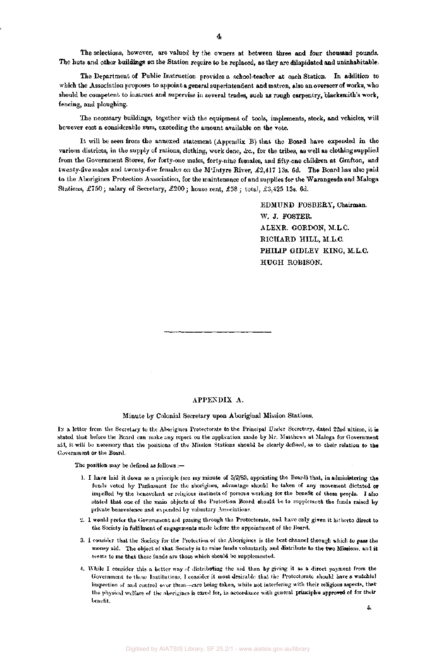The selections, however, are valued by the owners at between three and four thousand pounds. The huts and other **buildings** on the Station require to be replaced, as they are dilapidated and uninhabitable,

The Department of Public Instruction provides a school-teacher at each Station. In addition to which the Association proposes to appoint a general superintendent and matron, also an overseer of works, who should be competent to instruct and supervise in several trades, such as rough carpentry, blacksmith's work, fencing, and ploughing.

The necessary buildings, together with the equipment of tools, implements, stock, and vehicles, will however cost a considerable sum, exceeding the amount available on the vote.

It will be seen from the annexed statement (Appendix B) that the Board have expended in the various districts, in the supply of rations, clothing, work done, &c, for the tribes, as well as clothing supplied from the Government Stores, for forty-one males, forty-nine females, and fifty-one children at Grafton, and twenty-five males and twenty-five females on the M'Intyre River, £2,417 13s. 6d. The Board has also paid to the Aborigines Protection Association, for the maintenance of and supplies for the Warangesda and Maloga Stations, £750; salary of Secretary, £200; house rent, £58 ; total, £3,425 13s. 6d.

> EDMUND FOSBERY, Chairman. W. J. FOSTER. ALEXR. GORDON, M.L.C. RICHARD HILL, M.L.C. **PHILIP** GIDLEY KING, M.L.C. HUGH ROBISON.

#### APPENDIX A.

#### Minute by Colonial Secretary upon Aboriginal Mission Stations.

IN a letter from the Secretary to the Aborigines Protectorate to the Principal Under Secretary, dated 22nd ultimo, it is stated that before the Board can make any report on the application made by Mr. Matthews at Maloga for Government aid, it will be necessary that the positions of the Mission Stations should be clearly defined, as to their relation to **the**  Government or the Board.

The position may be defined as follows :—

- ]. I have laid it down as a principle (see my minute of 5/2/83, appointing the Board) that, in administering **the**  funds voted by Parliament for the aborigines, advantage should be taken of any movement dictated **or**  impelled by the benevolent or religious instincts of persons working for the benefit of these people. I also stated that one of the main objects of the Protection Board should be to supplement the funds raised by private benevolence and expended by voluntary Associations.
- *2.* I would prefer the Government aid passing through the Protectorate, and have only **given** it hitherto direct to the Society in fulfilment of engagements made before the appointment of the Board.
- 3. I consider that the Society for the Protection of the Aborigines is the best channel through which to pass the money aid. The object of that Society is to raise funds voluntarily and distribute to the **two** Missions, and it seems to me **that** these funds are those which should be supplemented.
- 4. While I consider this a better way of distributing the aid than by giving it as a direct payment from the Government to these Institutions, I consider it most desirable that the Protectorate should have a watchful inspection of and control over them—care being taken, while not interfering with their religious aspects, [that](http://ths.fr) the physical welfare of the aborigines is cared for, in accordance with general principles **approved** of for their benefit.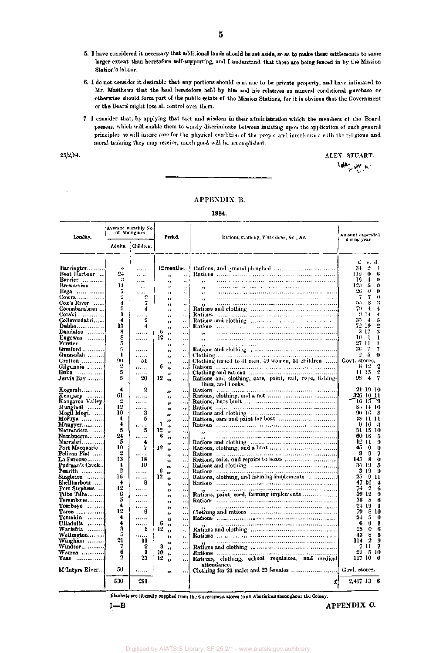- 5. I have considered it necessary that additional lands should be set aside, so as to make these settlements to some larger extent than heretofore self-supporting, and I understand that these are being fenced in by the Mission Station's labour.
- 6. I do not consider it desirable that any portions should continue to be private property, and have intimated to Mr. Matthews that the land heretofore held by him and his relatives as mineral conditional purchase or otherwise should form part of the public estate of the Mission Stations, for it is obvious that the Government or the Board might lose all control over them.
- 7. I consider that, by applying that tact and wisdom in their administration which the members of the Board possess, which will enable them to wisely discriminate between insisting upon the application of such general principles as will insure care for the physical condition of the people and interference with the religious and moral training they may receive, much good will be accomplished.

25/2/84. ALEX. STUART. *New York* 

## APPENDIX B.

1884.

| Locality.                                             |         | Average monthly No.<br>of Aborigines. |    | Period.   |                      | Rations, Clothing, Work done, &c., &c.                                                                                                                                                                                         | Amount expended |               |                 |                |
|-------------------------------------------------------|---------|---------------------------------------|----|-----------|----------------------|--------------------------------------------------------------------------------------------------------------------------------------------------------------------------------------------------------------------------------|-----------------|---------------|-----------------|----------------|
|                                                       | Adulta. | Children,                             |    |           |                      |                                                                                                                                                                                                                                | during year.    |               |                 |                |
| <b>Barrington</b>                                     | 4       |                                       |    |           |                      |                                                                                                                                                                                                                                | ť<br>34         | 2             | s. d.           | 4              |
| Boat Harbour                                          | 24      | .<br>$\cdots$                         |    |           |                      |                                                                                                                                                                                                                                | 116.            | 0             |                 | G              |
| Burrier $\ldots, \ldots$                              | я       | $\cdots$                              |    |           | sa i<br>۰. . ۰       |                                                                                                                                                                                                                                | 16.             | 4             |                 | 0              |
| Brewarrina                                            | 14      | .                                     |    |           |                      | ٠.                                                                                                                                                                                                                             | 120             | 5             |                 | 0              |
| $Hega$                                                | 7       | .                                     |    | 11        | .                    | ٠.                                                                                                                                                                                                                             | 26              | $\mathbf 0$   |                 | 9              |
| Cowra                                                 | 2       | 2                                     |    | и<br>,,   | Ω.                   | $\bullet$<br>$\bullet$                                                                                                                                                                                                         | 7               | 7             |                 | 0              |
| Cox's River !                                         | 4       | 7                                     |    | $^{\ast}$ |                      |                                                                                                                                                                                                                                | 55              | s             |                 | я              |
| Coonabarabran                                         | 5       | 4                                     |    | $\bullet$ |                      |                                                                                                                                                                                                                                | 79.             | 4             |                 | 4              |
| Coraki                                                | ı       | 1.1.1.1                               |    | .,        | $\ddotsc$            |                                                                                                                                                                                                                                |                 | 914           |                 | 4              |
| Collarendabri                                         | 4       | 2                                     |    | н.        |                      |                                                                                                                                                                                                                                | 35              | $\rightarrow$ |                 | Л              |
| Dubbo 1                                               | 15      | 4                                     |    | ,,        | !                    |                                                                                                                                                                                                                                |                 | 72 19         |                 | 2              |
| $\mathbf{D}\mathbf{and}\mathbf{a}$ loo                | 3       |                                       | G  | ,,        | $\ddotsc$            |                                                                                                                                                                                                                                |                 | 317           |                 | 3              |
| Eugowra $\dots$                                       | 8       | .                                     | 12 | ٠,        | Ω.                   | ,,                                                                                                                                                                                                                             | m               | - 1           |                 | ı              |
| Forster                                               | 5       | .                                     |    | $\bullet$ |                      |                                                                                                                                                                                                                                |                 | 27 11         |                 | ŧ              |
| Gresford $\ldots$                                     | 6       |                                       |    | 11        |                      | Rations and clothing communication accommunication                                                                                                                                                                             | 36.             | - 7           |                 | 7              |
| Gunnedah                                              | ı       | .                                     |    | ,,        |                      |                                                                                                                                                                                                                                | ¥.              | 5             |                 | 0              |
| Grafton !                                             | 90<br>2 | 51                                    |    | n         | I                    | Clothing issued to 41 men, 49 women, 51 children                                                                                                                                                                               | Govt. stores.   | 842           |                 |                |
| Gilgunnia                                             | 5       |                                       | 6  | ,,        |                      |                                                                                                                                                                                                                                |                 | 11-15         |                 | $\overline{2}$ |
| Iloka ……………<br>Jervis Bay                             | 5       | .<br>20                               | 12 |           |                      | Rations and clothing, cars, paint, sail, rope, fishing-                                                                                                                                                                        | 93              | 4             |                 | 7              |
|                                                       |         |                                       |    | $\bullet$ | $\cdots$             | lines, and hooks,                                                                                                                                                                                                              |                 |               |                 |                |
| Kogarah                                               | 4       | 2                                     |    |           |                      |                                                                                                                                                                                                                                |                 | 21 19 10      |                 |                |
| Kempsey                                               | 61      | .                                     |    | ,,<br>,,  | $\ddotsc$            |                                                                                                                                                                                                                                | 326 10 11       |               |                 |                |
| Kangaroo Valley.                                      | 2       |                                       |    |           |                      |                                                                                                                                                                                                                                |                 | 16 15         |                 | η              |
| Mungindi                                              | 12      |                                       |    | ۹È<br>,,  | $\epsilon$           |                                                                                                                                                                                                                                |                 | 85 14 10      |                 |                |
| Mogil Mogil ……                                        | 10      | 3                                     |    | ,,        | ٠.,                  |                                                                                                                                                                                                                                |                 | 90 IG         |                 | 8              |
| Moruya                                                | 4       | 5                                     |    | ,,        | $\ldots$             |                                                                                                                                                                                                                                |                 | 48 H H        |                 |                |
| <b>Müngyer</b>                                        | 4       | .                                     | 1  | 18        |                      |                                                                                                                                                                                                                                |                 | 0 16          | - 3             |                |
| Narrandera                                            | 5       | 5                                     | 12 | ,,        | $\ddot{\phantom{1}}$ | ы                                                                                                                                                                                                                              | 51.             | 15 10         |                 |                |
| Nambuccra                                             | 24      | .                                     | 6  | ı,        |                      |                                                                                                                                                                                                                                |                 | 60 16         |                 | 5              |
| Narrabri                                              | 5       | 4                                     |    | ٠,        | $\cdots$             |                                                                                                                                                                                                                                |                 | 12 11         |                 | 9              |
| Po <b>rt Macquar</b> ie                               | 10      | 7                                     | 12 | 19        |                      |                                                                                                                                                                                                                                | 45              | 0             |                 | 0              |
| Pelican Flat                                          | 2       |                                       |    | **        | ,                    |                                                                                                                                                                                                                                | 9               | 0             |                 | 7              |
| La Perouse                                            | 13      | 18                                    |    | ,,        | $\ddotsc$            |                                                                                                                                                                                                                                | 145.            | 8             |                 | o              |
| <b>Pudman's Creek…</b>                                | 4<br>2  | 10                                    |    | ,,        |                      | Rations and clothing manuscriptures and clothing manuscriptures and clothing manuscriptures are all the set of the set of the set of the set of the set of the set of the set of the set of the set of the set of the set of t |                 | 35 19         |                 | 5              |
| <b>Penrith</b> $\ldots$ $\ldots$                      | 16      | .                                     | 6  | $\bullet$ | $\ddotsc$            |                                                                                                                                                                                                                                | 25              | 319           | 9 <sub>11</sub> | 9              |
| Singleton ………<br>Shellharbour                         | 4       | .<br>8                                | 12 | $\bullet$ | ٠.,                  | Rations, clothing, and farming implements                                                                                                                                                                                      | 47.             | 16            |                 | 4              |
| Port Stephens                                         | 12      | .                                     |    | ,,        |                      |                                                                                                                                                                                                                                | 74              | 2             |                 | 6              |
| Tilba Tilba………                                        | 6       |                                       |    | ,,        | $\ddotsc$            | Rations, paint, seed, farming implements                                                                                                                                                                                       | 39.             | 12            |                 | 9              |
| Terembone                                             | 5       |                                       |    | .,        | ٠.<br>               |                                                                                                                                                                                                                                | 36              | 8             |                 | 6              |
| Tomboye                                               | 4       | .                                     |    | ,,<br>12  |                      |                                                                                                                                                                                                                                |                 | 24 19         |                 | ı              |
| $T$ aree $\ldots$                                     | 12      | 8                                     |    | 11        | ٠.,                  |                                                                                                                                                                                                                                | 79              |               | 8 IO            |                |
| Tomakin $\ldots \ldots$                               | 4       |                                       |    | ,,        | $\ddotsc$            |                                                                                                                                                                                                                                | 24              | 5             |                 | 0              |
| Ulladulla                                             | 4       |                                       | 6  | "         | ٠.,                  |                                                                                                                                                                                                                                | 6               | o             |                 | ı              |
| Warialda                                              | 3       | 1                                     | 12 | ,,        | ٠.                   |                                                                                                                                                                                                                                | 23              | 0             |                 | 6              |
| Wellington                                            | 5       |                                       |    | ,,        | μ,                   |                                                                                                                                                                                                                                | 43              | 8             |                 | 5              |
| Wingham                                               | 21      | п                                     |    | Ħ         | $\ddotsc$            |                                                                                                                                                                                                                                | 114             | 2             |                 | 9              |
| $\mathbf{W}\mathbf{indson}\, \dots \dots \dots \dots$ | 7       | 9                                     | 3  | ,,        |                      |                                                                                                                                                                                                                                |                 | 7 11          |                 | 7              |
| $\mathbf{War}$ ren                                    | 6<br>2  | ı<br>23                               | 10 | $\bullet$ |                      |                                                                                                                                                                                                                                | 21.             |               | 5 10<br>- 6     |                |
| Yass                                                  |         |                                       | 12 | H.        | $\ddotsc$            | Rations, clothing, school requisites, and medical                                                                                                                                                                              | 117 10          |               |                 |                |
| <b>M'Intyre River…</b>                                | 50      |                                       |    |           |                      | attendance.<br>Clothing for 25 males and 25 females                                                                                                                                                                            | Govt. stores.   |               |                 |                |
|                                                       |         |                                       |    | n         |                      |                                                                                                                                                                                                                                |                 |               |                 |                |
|                                                       | 530     | 211                                   |    |           |                      | ſ                                                                                                                                                                                                                              | 2,417 13 6      |               |                 |                |

Blankets arc liberally supplied from the Government stores to all Aborigines throughout the Colony.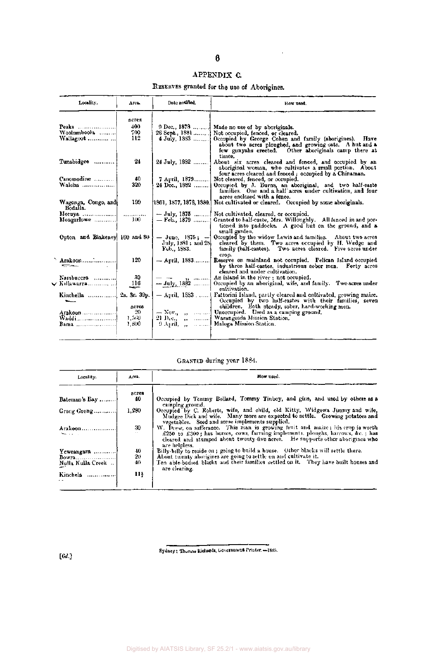# APPENDIX C.

RESERVES granted for the use of Aborigines.

| Locality.                       | Атса.          | Date notified.                     | How used.                                                                                                                                                                                                      |
|---------------------------------|----------------|------------------------------------|----------------------------------------------------------------------------------------------------------------------------------------------------------------------------------------------------------------|
|                                 | acres          |                                    |                                                                                                                                                                                                                |
| Peaks<br>Woolumboola            | 400<br>500     | 26 Sept., 1881                     | 9 Dec., 1878  Made no use of by aboriginals.                                                                                                                                                                   |
| Wallagoot                       | 112            | $4$ July. 1883                     | Not occupied, fenced, or cleared.<br>Occupied by George Cohen and family (aborigines). Have<br>about two acres ploughed, and growing oats. A hut and a<br>few gunyahs erected. Other aboriginals camp there at |
| Tunabidgee                      | 24             | 24 July, 1882                      | times.<br>About six acres cleared and fenced, and occupied by an<br>aboriginal woman, who cultivates a small portion. About<br>four acres cleared and fenced; occupied by a Chinaman.                          |
| Canomodine                      | 40.            | 7 April, 1879                      | Not cleared, fenced, or occupied.                                                                                                                                                                              |
| Walcha                          | 320            | 24 Dec., 1882                      | Occupied by J. Burns, an aboriginal, and two half-caste<br>families. One and a half acres under cultivation, and four<br>acres enclosed with a fence.                                                          |
| Wagonga, Congo, and<br>Bodalla. | 199            | 1861, 1877, 1878, 1880.            | Not cultivated or cleared. Occupied by some aboriginals.                                                                                                                                                       |
| Mongarlowe                      | $100-$         | $-$ July, 1875<br>$-$ Feb., 1879   | Not cultivated, cleared, or occupied,<br>Granted to half-caste, Mrs. Willoughly. All fenced in and por-<br>tioned into paddocks. A good hut on the ground, and a<br>small garden.                              |
| Opton and Blakeney 160 and 80   |                | July, 1881; and 28.<br>Feb., 1883. | $-$ June, 1875; - Occupied by the widow Lewis and families. About two acres<br>cleared by them. Two acres occupied by H. Wedge and<br>family (half-castes). Two acres cleared. Five acres under                |
| Arakoon<br>المحاسبين            | 120            | — April, 1883                      | crop.<br>Reserve on mainland not occupied. Pelican Island occupied<br>by three half-castes, industrious sober men. Forty acres<br>cleared and under cultivation.                                               |
| Nambucera                       | 30             | المتمنعت للرواد                    | An island in the river ; not occupied.                                                                                                                                                                         |
|                                 | 116<br>سيهد    | --- July, 1882                     | Occupied by an aboriginal, wife, and family. Two acres under<br>cultivation.                                                                                                                                   |
| Kinchella                       | 2a, 3r. 39p.   |                                    | - April, 1883.  Fattorini Island, partly eleared and cultivated, growing maize.<br>Occupied by two half-castes with their families, seven                                                                      |
|                                 | acres          |                                    | children. Both steady, sober, hard-working men.                                                                                                                                                                |
| Arakoon !                       | 20.            |                                    | - Nov., ,  Unoccupied. Used as a camping ground.<br>21 Dec., ,  Warangesda Mission Station.                                                                                                                    |
| Bania                           | 1,560<br>1,500 |                                    |                                                                                                                                                                                                                |
|                                 |                |                                    |                                                                                                                                                                                                                |

# GRANTED during year 1884.

| Locality.                    | Area.       | How used.                                                                                                                                                                                                                                                                                              |
|------------------------------|-------------|--------------------------------------------------------------------------------------------------------------------------------------------------------------------------------------------------------------------------------------------------------------------------------------------------------|
| Bateman's Bay                | acrea<br>40 | Occupied by Tommy Bollard, Tommy Tinboy, and gins, and used by others as a                                                                                                                                                                                                                             |
|                              |             | camping ground.                                                                                                                                                                                                                                                                                        |
| Grong Grong                  | 1.280       | Occupied by C. Roberts, wife, and child, old Kitty, Widgewa Jimmy and wife,<br>Mudgee Dick and wife. Many more are expected to settle. Growing notatoes and                                                                                                                                            |
| Arakoon<br>Peace of the Con- | 30          | vegetables. Seed and some implements supplied.<br>W. Thew, on sufferance. This man is growing fruit and maize; his crop is worth<br>£250 to £300; has horses, cows, farming implements, ploughs, harrows, $\&c$ , has<br>cleared and stumped about twenty-five acres. He supports other aborigines who |
|                              | 40          | are helpless.<br>Billy-billy to reside on; going to build a house. Other blacks will settle there.                                                                                                                                                                                                     |
| Yewrangara<br>Bowra          | $20 -$      | About twenty aborigines are going to settle on and cultivate it.                                                                                                                                                                                                                                       |
|                              |             |                                                                                                                                                                                                                                                                                                        |
|                              |             |                                                                                                                                                                                                                                                                                                        |
| Kinchela                     | 11}         |                                                                                                                                                                                                                                                                                                        |
| Nulla Nulla Creek            | 40          | Ten able bodied blacks and their families settled on it. They have built houses and<br>are clearing.                                                                                                                                                                                                   |

Sydney: Thomas Richards, Government printer.—1885.

**[6d.]** 

### Digitised by AIATSIS Library, SF 25.2/1 - www.aiatsis.gov.au/library